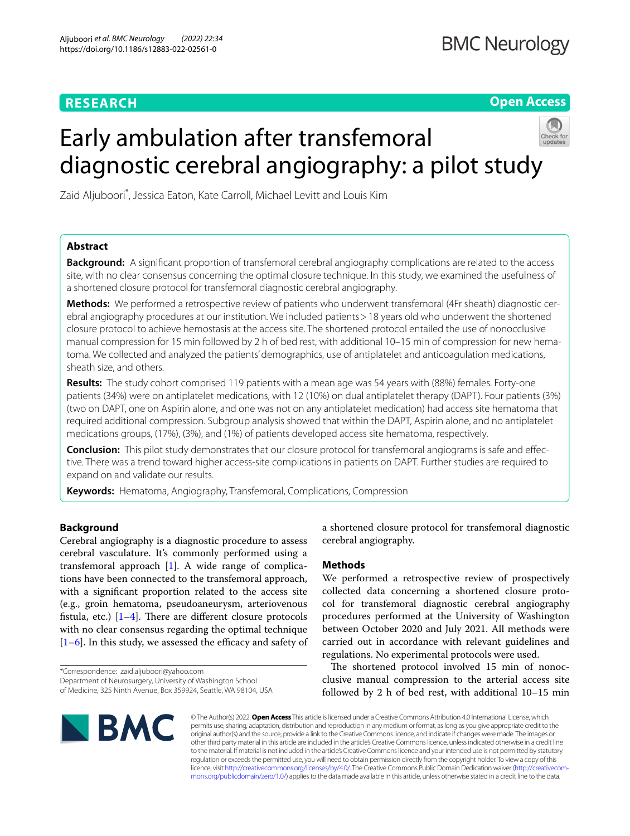# **RESEARCH**

**Open Access**

# Early ambulation after transfemoral diagnostic cerebral angiography: a pilot study



Zaid Aljuboori\* , Jessica Eaton, Kate Carroll, Michael Levitt and Louis Kim

# **Abstract**

**Background:** A signifcant proportion of transfemoral cerebral angiography complications are related to the access site, with no clear consensus concerning the optimal closure technique. In this study, we examined the usefulness of a shortened closure protocol for transfemoral diagnostic cerebral angiography.

**Methods:** We performed a retrospective review of patients who underwent transfemoral (4Fr sheath) diagnostic cerebral angiography procedures at our institution. We included patients>18 years old who underwent the shortened closure protocol to achieve hemostasis at the access site. The shortened protocol entailed the use of nonocclusive manual compression for 15 min followed by 2 h of bed rest, with additional 10–15 min of compression for new hematoma. We collected and analyzed the patients' demographics, use of antiplatelet and anticoagulation medications, sheath size, and others.

**Results:** The study cohort comprised 119 patients with a mean age was 54 years with (88%) females. Forty-one patients (34%) were on antiplatelet medications, with 12 (10%) on dual antiplatelet therapy (DAPT). Four patients (3%) (two on DAPT, one on Aspirin alone, and one was not on any antiplatelet medication) had access site hematoma that required additional compression. Subgroup analysis showed that within the DAPT, Aspirin alone, and no antiplatelet medications groups, (17%), (3%), and (1%) of patients developed access site hematoma, respectively.

**Conclusion:** This pilot study demonstrates that our closure protocol for transfemoral angiograms is safe and efective. There was a trend toward higher access-site complications in patients on DAPT. Further studies are required to expand on and validate our results.

**Keywords:** Hematoma, Angiography, Transfemoral, Complications, Compression

# **Background**

Cerebral angiography is a diagnostic procedure to assess cerebral vasculature. It's commonly performed using a transfemoral approach [\[1](#page-2-0)]. A wide range of complications have been connected to the transfemoral approach, with a signifcant proportion related to the access site (e.g., groin hematoma, pseudoaneurysm, arteriovenous fistula, etc.)  $[1-4]$  $[1-4]$ . There are different closure protocols with no clear consensus regarding the optimal technique  $[1–6]$  $[1–6]$  $[1–6]$ . In this study, we assessed the efficacy and safety of

\*Correspondence: zaid.aljuboori@yahoo.com Department of Neurosurgery, University of Washington School of Medicine, 325 Ninth Avenue, Box 359924, Seattle, WA 98104, USA a shortened closure protocol for transfemoral diagnostic cerebral angiography.

# **Methods**

We performed a retrospective review of prospectively collected data concerning a shortened closure protocol for transfemoral diagnostic cerebral angiography procedures performed at the University of Washington between October 2020 and July 2021. All methods were carried out in accordance with relevant guidelines and regulations. No experimental protocols were used.

The shortened protocol involved 15 min of nonocclusive manual compression to the arterial access site followed by 2  $h$  of bed rest, with additional  $10-15$  min



© The Author(s) 2022. **Open Access** This article is licensed under a Creative Commons Attribution 4.0 International License, which permits use, sharing, adaptation, distribution and reproduction in any medium or format, as long as you give appropriate credit to the original author(s) and the source, provide a link to the Creative Commons licence, and indicate if changes were made. The images or other third party material in this article are included in the article's Creative Commons licence, unless indicated otherwise in a credit line to the material. If material is not included in the article's Creative Commons licence and your intended use is not permitted by statutory regulation or exceeds the permitted use, you will need to obtain permission directly from the copyright holder. To view a copy of this licence, visit [http://creativecommons.org/licenses/by/4.0/.](http://creativecommons.org/licenses/by/4.0/) The Creative Commons Public Domain Dedication waiver ([http://creativecom](http://creativecommons.org/publicdomain/zero/1.0/)[mons.org/publicdomain/zero/1.0/\)](http://creativecommons.org/publicdomain/zero/1.0/) applies to the data made available in this article, unless otherwise stated in a credit line to the data.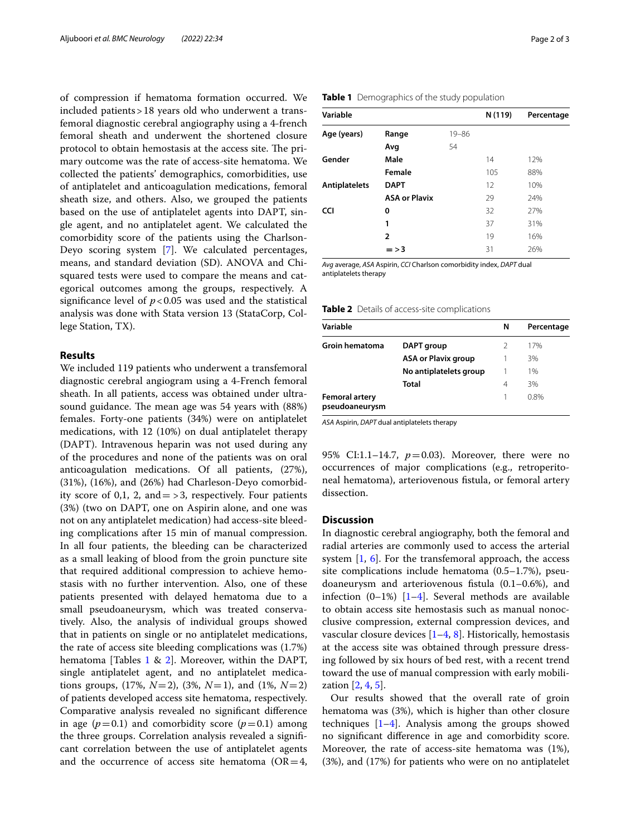of compression if hematoma formation occurred. We included patients>18 years old who underwent a transfemoral diagnostic cerebral angiography using a 4-french femoral sheath and underwent the shortened closure protocol to obtain hemostasis at the access site. The primary outcome was the rate of access-site hematoma. We collected the patients' demographics, comorbidities, use of antiplatelet and anticoagulation medications, femoral sheath size, and others. Also, we grouped the patients based on the use of antiplatelet agents into DAPT, single agent, and no antiplatelet agent. We calculated the comorbidity score of the patients using the Charlson-Deyo scoring system [[7\]](#page-2-3). We calculated percentages, means, and standard deviation (SD). ANOVA and Chisquared tests were used to compare the means and categorical outcomes among the groups, respectively. A significance level of  $p < 0.05$  was used and the statistical analysis was done with Stata version 13 (StataCorp, College Station, TX).

## **Results**

We included 119 patients who underwent a transfemoral diagnostic cerebral angiogram using a 4-French femoral sheath. In all patients, access was obtained under ultrasound guidance. The mean age was 54 years with (88%) females. Forty-one patients (34%) were on antiplatelet medications, with 12 (10%) on dual antiplatelet therapy (DAPT). Intravenous heparin was not used during any of the procedures and none of the patients was on oral anticoagulation medications. Of all patients, (27%), (31%), (16%), and (26%) had Charleson-Deyo comorbidity score of 0,1, 2, and  $=$  > 3, respectively. Four patients (3%) (two on DAPT, one on Aspirin alone, and one was not on any antiplatelet medication) had access-site bleeding complications after 15 min of manual compression. In all four patients, the bleeding can be characterized as a small leaking of blood from the groin puncture site that required additional compression to achieve hemostasis with no further intervention. Also, one of these patients presented with delayed hematoma due to a small pseudoaneurysm, which was treated conservatively. Also, the analysis of individual groups showed that in patients on single or no antiplatelet medications, the rate of access site bleeding complications was (1.7%) hematoma [Tables  $1 \& 2$  $1 \& 2$  $1 \& 2$ ]. Moreover, within the DAPT, single antiplatelet agent, and no antiplatelet medications groups,  $(17\%, N=2)$ ,  $(3\%, N=1)$ , and  $(1\%, N=2)$ of patients developed access site hematoma, respectively. Comparative analysis revealed no signifcant diference in age  $(p=0.1)$  and comorbidity score  $(p=0.1)$  among the three groups. Correlation analysis revealed a signifcant correlation between the use of antiplatelet agents and the occurrence of access site hematoma ( $OR=4$ ,

| Variable      |                      |           | N (119) | Percentage |
|---------------|----------------------|-----------|---------|------------|
| Age (years)   | Range                | $19 - 86$ |         |            |
|               | Avg                  | 54        |         |            |
| Gender        | Male                 |           | 14      | 12%        |
|               | Female               |           | 105     | 88%        |
| Antiplatelets | <b>DAPT</b>          |           | 12      | 10%        |
|               | <b>ASA or Plavix</b> |           | 29      | 24%        |
| <b>CCI</b>    | 0                    |           | 32      | 27%        |
|               | 1                    |           | 37      | 31%        |
|               | $\overline{2}$       |           | 19      | 16%        |
|               | $=$ $>$ 3            |           | 31      | 26%        |

*Avg* average, *ASA* Aspirin, *CCI* Charlson comorbidity index, *DAPT* dual antiplatelets therapy

<span id="page-1-1"></span>

|  |  |  | Table 2 Details of access-site complications |  |  |
|--|--|--|----------------------------------------------|--|--|
|--|--|--|----------------------------------------------|--|--|

| Variable                                |                            | N | Percentage |
|-----------------------------------------|----------------------------|---|------------|
| <b>Groin hematoma</b>                   | DAPT group                 |   | 17%        |
|                                         | <b>ASA or Plavix group</b> |   | 3%         |
|                                         | No antiplatelets group     |   | 1%         |
|                                         | Total                      | 4 | 3%         |
| <b>Femoral artery</b><br>pseudoaneurysm |                            |   | 0.8%       |

*ASA* Aspirin, *DAPT* dual antiplatelets therapy

95% CI:1.1-14.7,  $p=0.03$ ). Moreover, there were no occurrences of major complications (e.g., retroperitoneal hematoma), arteriovenous fstula, or femoral artery dissection.

## **Discussion**

In diagnostic cerebral angiography, both the femoral and radial arteries are commonly used to access the arterial system [\[1](#page-2-0), [6\]](#page-2-2). For the transfemoral approach, the access site complications include hematoma (0.5–1.7%), pseudoaneurysm and arteriovenous fstula (0.1–0.6%), and infection  $(0-1\%)$  [[1–](#page-2-0)[4](#page-2-1)]. Several methods are available to obtain access site hemostasis such as manual nonocclusive compression, external compression devices, and vascular closure devices  $[1-4, 8]$  $[1-4, 8]$  $[1-4, 8]$ . Historically, hemostasis at the access site was obtained through pressure dressing followed by six hours of bed rest, with a recent trend toward the use of manual compression with early mobilization [[2,](#page-2-5) [4,](#page-2-1) [5](#page-2-6)].

Our results showed that the overall rate of groin hematoma was (3%), which is higher than other closure techniques  $[1-4]$  $[1-4]$  $[1-4]$ . Analysis among the groups showed no signifcant diference in age and comorbidity score. Moreover, the rate of access-site hematoma was (1%), (3%), and (17%) for patients who were on no antiplatelet

# <span id="page-1-0"></span>**Table 1** Demographics of the study population